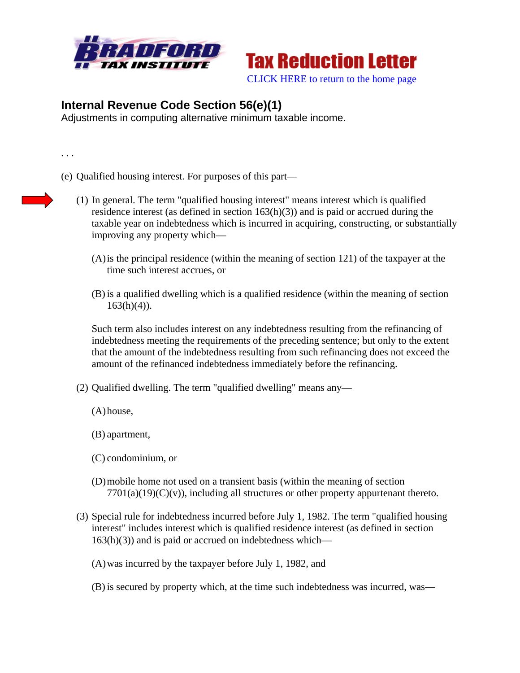



## **Internal Revenue Code Section 56(e)(1)**

Adjustments in computing alternative minimum taxable income.

. . .

- (e) Qualified housing interest. For purposes of this part—
	- (1) In general. The term "qualified housing interest" means interest which is qualified residence interest (as defined in section 163(h)(3)) and is paid or accrued during the taxable year on indebtedness which is incurred in acquiring, constructing, or substantially improving any property which—
		- (A)is the principal residence (within the meaning of section 121) of the taxpayer at the time such interest accrues, or
		- (B) is a qualified dwelling which is a qualified residence (within the meaning of section  $163(h)(4)$ ).

Such term also includes interest on any indebtedness resulting from the refinancing of indebtedness meeting the requirements of the preceding sentence; but only to the extent that the amount of the indebtedness resulting from such refinancing does not exceed the amount of the refinanced indebtedness immediately before the refinancing.

- (2) Qualified dwelling. The term "qualified dwelling" means any—
	- (A)house,
	- (B) apartment,
	- (C) condominium, or
	- (D)mobile home not used on a transient basis (within the meaning of section  $7701(a)(19)(C)(v)$ , including all structures or other property appurtenant thereto.
- (3) Special rule for indebtedness incurred before July 1, 1982. The term "qualified housing interest" includes interest which is qualified residence interest (as defined in section  $163(h)(3)$  and is paid or accrued on indebtedness which—
	- (A)was incurred by the taxpayer before July 1, 1982, and
	- (B) is secured by property which, at the time such indebtedness was incurred, was—